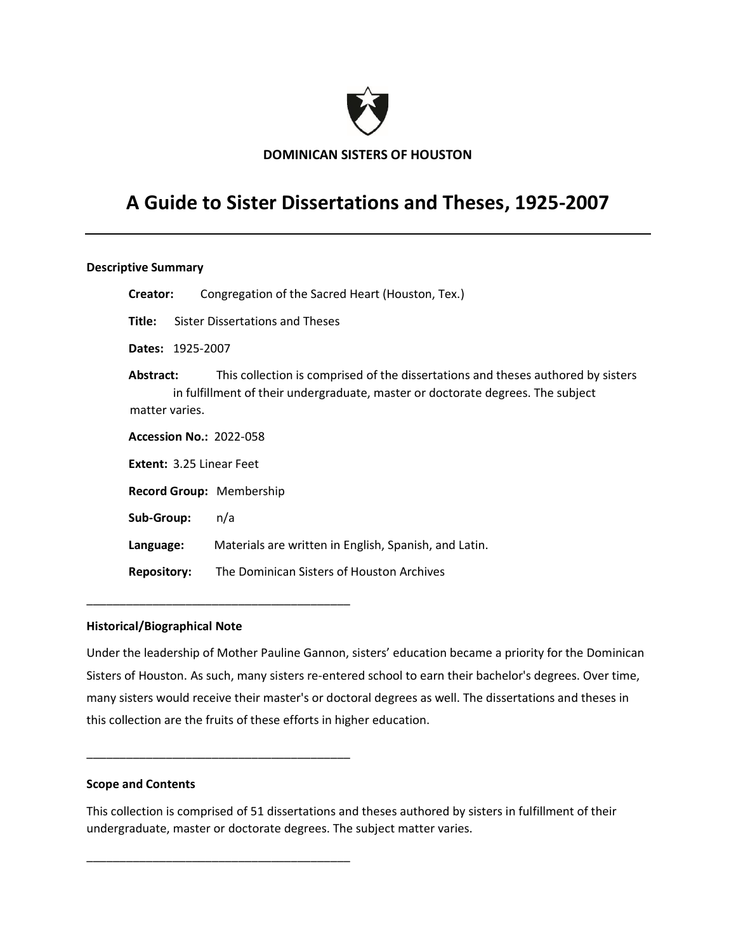

**DOMINICAN SISTERS OF HOUSTON**

# **A Guide to Sister Dissertations and Theses, 1925-2007**

## **Descriptive Summary**

| Creator:                        | Congregation of the Sacred Heart (Houston, Tex.)                                                                                                                    |  |  |  |  |  |
|---------------------------------|---------------------------------------------------------------------------------------------------------------------------------------------------------------------|--|--|--|--|--|
| Title:                          | Sister Dissertations and Theses                                                                                                                                     |  |  |  |  |  |
| <b>Dates: 1925-2007</b>         |                                                                                                                                                                     |  |  |  |  |  |
| Abstract:<br>matter varies.     | This collection is comprised of the dissertations and theses authored by sisters<br>in fulfillment of their undergraduate, master or doctorate degrees. The subject |  |  |  |  |  |
| <b>Accession No.: 2022-058</b>  |                                                                                                                                                                     |  |  |  |  |  |
| <b>Extent: 3.25 Linear Feet</b> |                                                                                                                                                                     |  |  |  |  |  |
| <b>Record Group: Membership</b> |                                                                                                                                                                     |  |  |  |  |  |
| Sub-Group:                      | n/a                                                                                                                                                                 |  |  |  |  |  |
| Language:                       | Materials are written in English, Spanish, and Latin.                                                                                                               |  |  |  |  |  |
| <b>Repository:</b>              | The Dominican Sisters of Houston Archives                                                                                                                           |  |  |  |  |  |

## **Historical/Biographical Note**

\_\_\_\_\_\_\_\_\_\_\_\_\_\_\_\_\_\_\_\_\_\_\_\_\_\_\_\_\_\_\_\_\_\_\_\_\_\_\_\_

\_\_\_\_\_\_\_\_\_\_\_\_\_\_\_\_\_\_\_\_\_\_\_\_\_\_\_\_\_\_\_\_\_\_\_\_\_\_\_\_

\_\_\_\_\_\_\_\_\_\_\_\_\_\_\_\_\_\_\_\_\_\_\_\_\_\_\_\_\_\_\_\_\_\_\_\_\_\_\_\_

Under the leadership of Mother Pauline Gannon, sisters' education became a priority for the Dominican Sisters of Houston. As such, many sisters re-entered school to earn their bachelor's degrees. Over time, many sisters would receive their master's or doctoral degrees as well. The dissertations and theses in this collection are the fruits of these efforts in higher education.

#### **Scope and Contents**

This collection is comprised of 51 dissertations and theses authored by sisters in fulfillment of their undergraduate, master or doctorate degrees. The subject matter varies.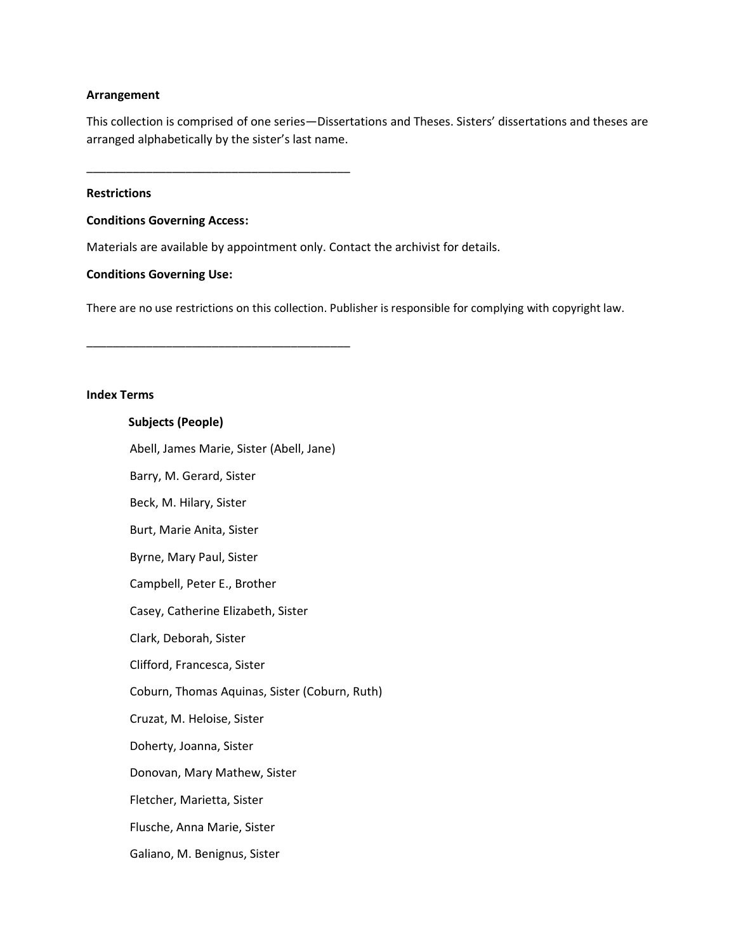#### **Arrangement**

This collection is comprised of one series—Dissertations and Theses. Sisters' dissertations and theses are arranged alphabetically by the sister's last name.

\_\_\_\_\_\_\_\_\_\_\_\_\_\_\_\_\_\_\_\_\_\_\_\_\_\_\_\_\_\_\_\_\_\_\_\_\_\_\_\_

\_\_\_\_\_\_\_\_\_\_\_\_\_\_\_\_\_\_\_\_\_\_\_\_\_\_\_\_\_\_\_\_\_\_\_\_\_\_\_\_

## **Restrictions**

#### **Conditions Governing Access:**

Materials are available by appointment only. Contact the archivist for details.

#### **Conditions Governing Use:**

There are no use restrictions on this collection. Publisher is responsible for complying with copyright law.

#### **Index Terms**

# **Subjects (People)**

Abell, James Marie, Sister (Abell, Jane)

Barry, M. Gerard, Sister Beck, M. Hilary, Sister Burt, Marie Anita, Sister Byrne, Mary Paul, Sister Campbell, Peter E., Brother Casey, Catherine Elizabeth, Sister Clark, Deborah, Sister Clifford, Francesca, Sister Coburn, Thomas Aquinas, Sister (Coburn, Ruth) Cruzat, M. Heloise, Sister Doherty, Joanna, Sister

Donovan, Mary Mathew, Sister

Fletcher, Marietta, Sister

Flusche, Anna Marie, Sister

Galiano, M. Benignus, Sister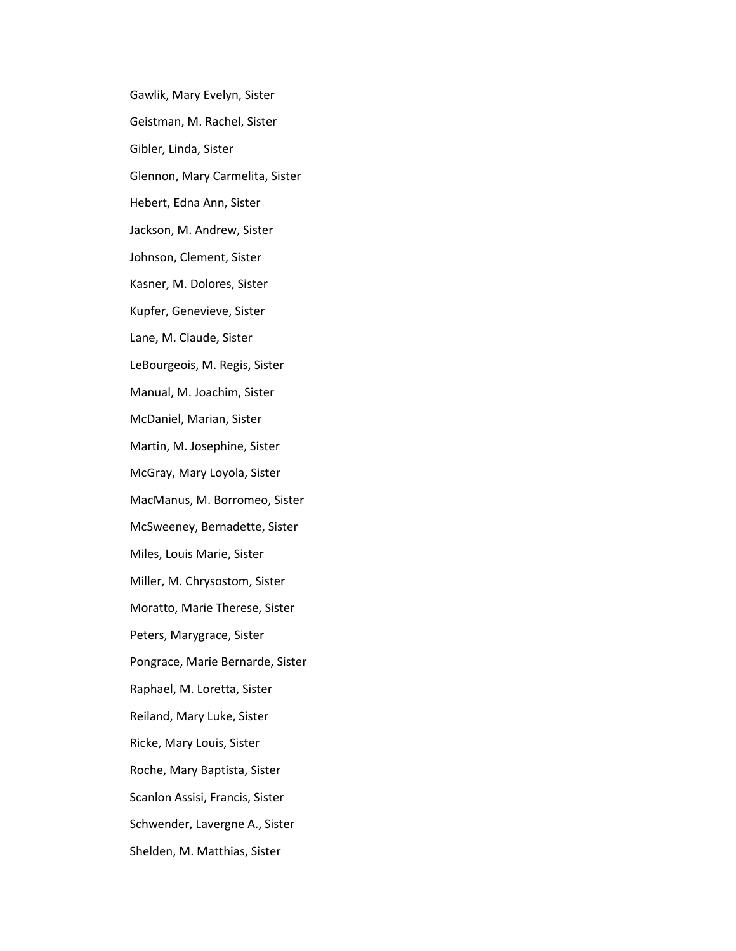Gawlik, Mary Evelyn, Sister Geistman, M. Rachel, Sister Gibler, Linda, Sister Glennon, Mary Carmelita, Sister Hebert, Edna Ann, Sister Jackson, M. Andrew, Sister Johnson, Clement, Sister Kasner, M. Dolores, Sister Kupfer, Genevieve, Sister Lane, M. Claude, Sister LeBourgeois, M. Regis, Sister Manual, M. Joachim, Sister McDaniel, Marian, Sister Martin, M. Josephine, Sister McGray, Mary Loyola, Sister MacManus, M. Borromeo, Sister McSweeney, Bernadette, Sister Miles, Louis Marie, Sister Miller, M. Chrysostom, Sister Moratto, Marie Therese, Sister Peters, Marygrace, Sister Pongrace, Marie Bernarde, Sister Raphael, M. Loretta, Sister Reiland, Mary Luke, Sister Ricke, Mary Louis, Sister Roche, Mary Baptista, Sister Scanlon Assisi, Francis, Sister Schwender, Lavergne A., Sister Shelden, M. Matthias, Sister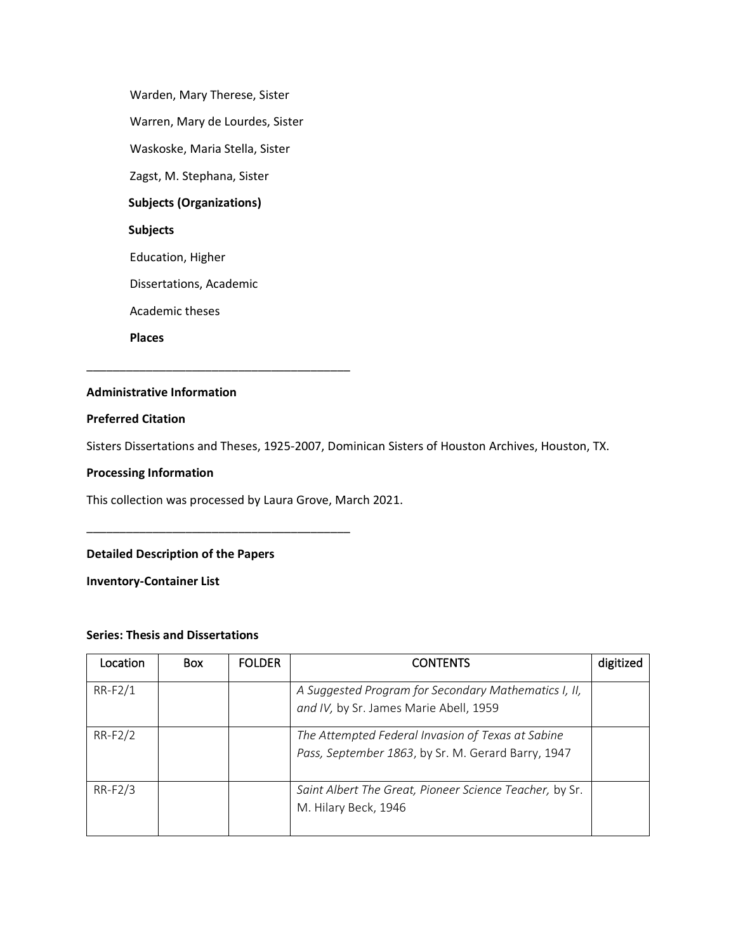Warden, Mary Therese, Sister Warren, Mary de Lourdes, Sister Waskoske, Maria Stella, Sister Zagst, M. Stephana, Sister **Subjects (Organizations) Subjects** Education, Higher Dissertations, Academic Academic theses **Places**

\_\_\_\_\_\_\_\_\_\_\_\_\_\_\_\_\_\_\_\_\_\_\_\_\_\_\_\_\_\_\_\_\_\_\_\_\_\_\_\_

# **Administrative Information**

## **Preferred Citation**

Sisters Dissertations and Theses, 1925-2007, Dominican Sisters of Houston Archives, Houston, TX.

#### **Processing Information**

This collection was processed by Laura Grove, March 2021.

\_\_\_\_\_\_\_\_\_\_\_\_\_\_\_\_\_\_\_\_\_\_\_\_\_\_\_\_\_\_\_\_\_\_\_\_\_\_\_\_

# **Detailed Description of the Papers**

**Inventory-Container List**

# **Series: Thesis and Dissertations**

| Location  | <b>Box</b> | <b>FOLDER</b> | <b>CONTENTS</b>                                                                                         | digitized |
|-----------|------------|---------------|---------------------------------------------------------------------------------------------------------|-----------|
| $RR-F2/1$ |            |               | A Suggested Program for Secondary Mathematics I, II,<br>and IV, by Sr. James Marie Abell, 1959          |           |
| RR-F2/2   |            |               | The Attempted Federal Invasion of Texas at Sabine<br>Pass, September 1863, by Sr. M. Gerard Barry, 1947 |           |
| $RR-F2/3$ |            |               | Saint Albert The Great, Pioneer Science Teacher, by Sr.<br>M. Hilary Beck, 1946                         |           |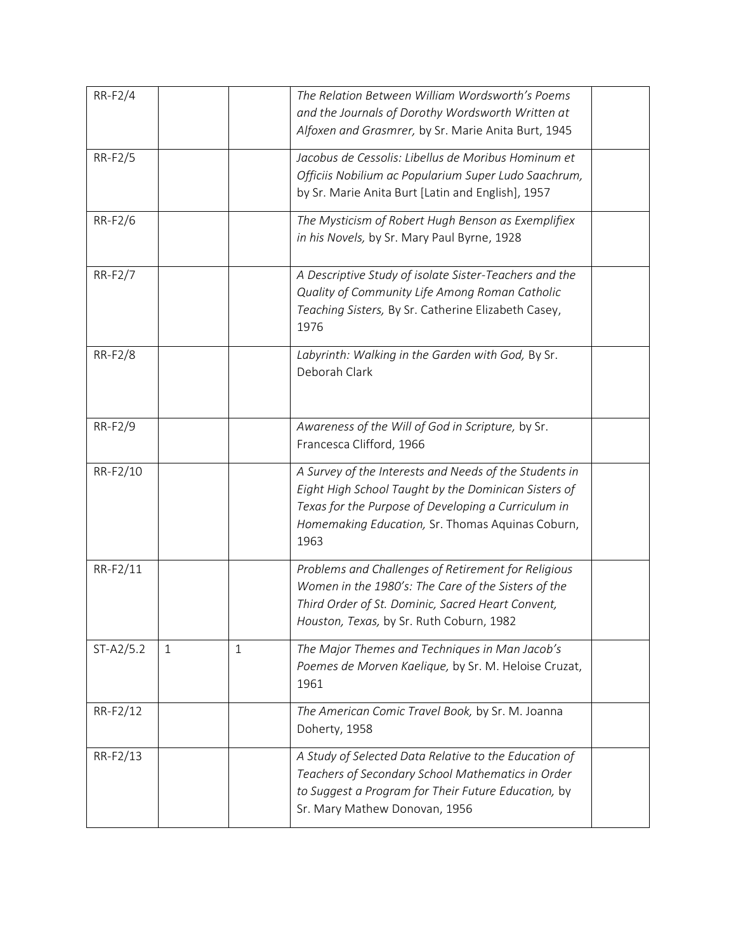| RR-F2/4        |   |              | The Relation Between William Wordsworth's Poems<br>and the Journals of Dorothy Wordsworth Written at<br>Alfoxen and Grasmrer, by Sr. Marie Anita Burt, 1945                                                                       |  |
|----------------|---|--------------|-----------------------------------------------------------------------------------------------------------------------------------------------------------------------------------------------------------------------------------|--|
| RR-F2/5        |   |              | Jacobus de Cessolis: Libellus de Moribus Hominum et<br>Officiis Nobilium ac Popularium Super Ludo Saachrum,<br>by Sr. Marie Anita Burt [Latin and English], 1957                                                                  |  |
| RR-F2/6        |   |              | The Mysticism of Robert Hugh Benson as Exemplifiex<br>in his Novels, by Sr. Mary Paul Byrne, 1928                                                                                                                                 |  |
| RR-F2/7        |   |              | A Descriptive Study of isolate Sister-Teachers and the<br>Quality of Community Life Among Roman Catholic<br>Teaching Sisters, By Sr. Catherine Elizabeth Casey,<br>1976                                                           |  |
| <b>RR-F2/8</b> |   |              | Labyrinth: Walking in the Garden with God, By Sr.<br>Deborah Clark                                                                                                                                                                |  |
| RR-F2/9        |   |              | Awareness of the Will of God in Scripture, by Sr.<br>Francesca Clifford, 1966                                                                                                                                                     |  |
| RR-F2/10       |   |              | A Survey of the Interests and Needs of the Students in<br>Eight High School Taught by the Dominican Sisters of<br>Texas for the Purpose of Developing a Curriculum in<br>Homemaking Education, Sr. Thomas Aquinas Coburn,<br>1963 |  |
| RR-F2/11       |   |              | Problems and Challenges of Retirement for Religious<br>Women in the 1980's: The Care of the Sisters of the<br>Third Order of St. Dominic, Sacred Heart Convent,<br>Houston, Texas, by Sr. Ruth Coburn, 1982                       |  |
| ST-A2/5.2      | 1 | $\mathbf{1}$ | The Major Themes and Techniques in Man Jacob's<br>Poemes de Morven Kaelique, by Sr. M. Heloise Cruzat,<br>1961                                                                                                                    |  |
| RR-F2/12       |   |              | The American Comic Travel Book, by Sr. M. Joanna<br>Doherty, 1958                                                                                                                                                                 |  |
| RR-F2/13       |   |              | A Study of Selected Data Relative to the Education of<br>Teachers of Secondary School Mathematics in Order<br>to Suggest a Program for Their Future Education, by<br>Sr. Mary Mathew Donovan, 1956                                |  |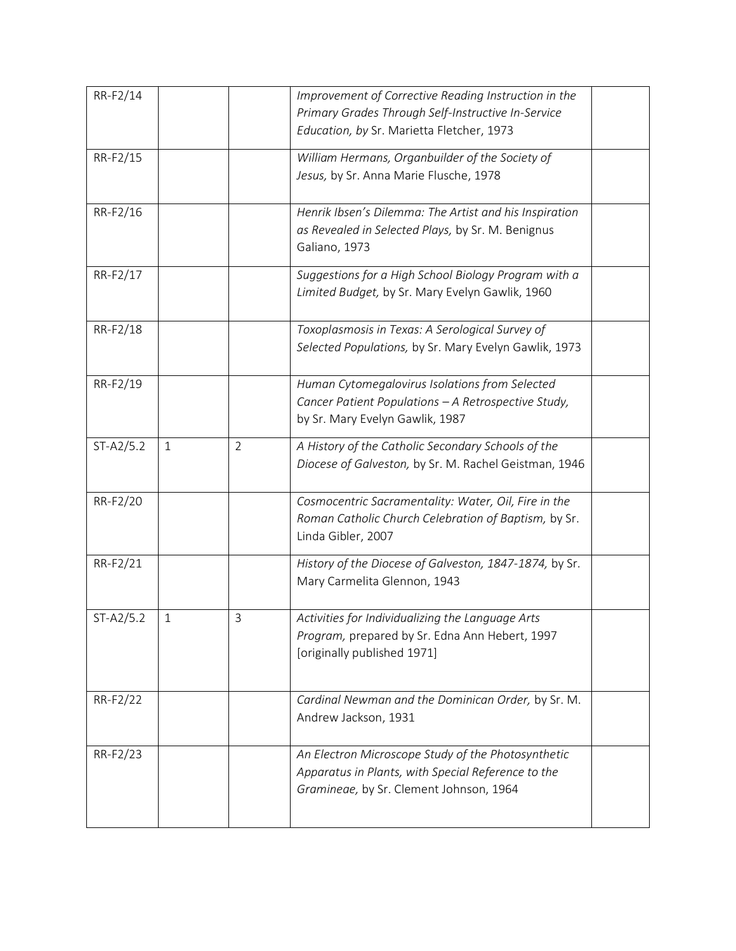| RR-F2/14    |              |                | Improvement of Corrective Reading Instruction in the   |  |
|-------------|--------------|----------------|--------------------------------------------------------|--|
|             |              |                | Primary Grades Through Self-Instructive In-Service     |  |
|             |              |                | Education, by Sr. Marietta Fletcher, 1973              |  |
| RR-F2/15    |              |                | William Hermans, Organbuilder of the Society of        |  |
|             |              |                | Jesus, by Sr. Anna Marie Flusche, 1978                 |  |
|             |              |                |                                                        |  |
| RR-F2/16    |              |                | Henrik Ibsen's Dilemma: The Artist and his Inspiration |  |
|             |              |                | as Revealed in Selected Plays, by Sr. M. Benignus      |  |
|             |              |                | Galiano, 1973                                          |  |
| RR-F2/17    |              |                | Suggestions for a High School Biology Program with a   |  |
|             |              |                | Limited Budget, by Sr. Mary Evelyn Gawlik, 1960        |  |
|             |              |                |                                                        |  |
| RR-F2/18    |              |                | Toxoplasmosis in Texas: A Serological Survey of        |  |
|             |              |                | Selected Populations, by Sr. Mary Evelyn Gawlik, 1973  |  |
| RR-F2/19    |              |                | Human Cytomegalovirus Isolations from Selected         |  |
|             |              |                | Cancer Patient Populations - A Retrospective Study,    |  |
|             |              |                | by Sr. Mary Evelyn Gawlik, 1987                        |  |
|             |              |                |                                                        |  |
| $ST-A2/5.2$ | $\mathbf{1}$ | $\overline{2}$ | A History of the Catholic Secondary Schools of the     |  |
|             |              |                | Diocese of Galveston, by Sr. M. Rachel Geistman, 1946  |  |
| RR-F2/20    |              |                | Cosmocentric Sacramentality: Water, Oil, Fire in the   |  |
|             |              |                | Roman Catholic Church Celebration of Baptism, by Sr.   |  |
|             |              |                | Linda Gibler, 2007                                     |  |
|             |              |                |                                                        |  |
| RR-F2/21    |              |                | History of the Diocese of Galveston, 1847-1874, by Sr. |  |
|             |              |                | Mary Carmelita Glennon, 1943                           |  |
| $ST-A2/5.2$ | 1            | 3              | Activities for Individualizing the Language Arts       |  |
|             |              |                | Program, prepared by Sr. Edna Ann Hebert, 1997         |  |
|             |              |                | [originally published 1971]                            |  |
|             |              |                |                                                        |  |
| RR-F2/22    |              |                | Cardinal Newman and the Dominican Order, by Sr. M.     |  |
|             |              |                | Andrew Jackson, 1931                                   |  |
|             |              |                |                                                        |  |
| RR-F2/23    |              |                | An Electron Microscope Study of the Photosynthetic     |  |
|             |              |                | Apparatus in Plants, with Special Reference to the     |  |
|             |              |                | Gramineae, by Sr. Clement Johnson, 1964                |  |
|             |              |                |                                                        |  |
|             |              |                |                                                        |  |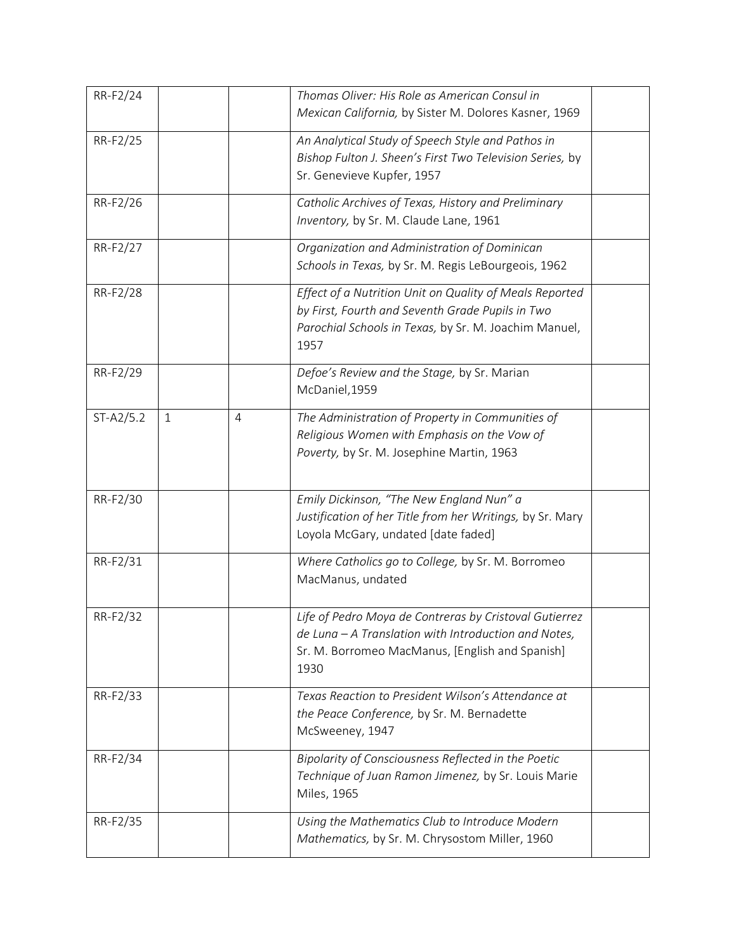| RR-F2/24    |              |                | Thomas Oliver: His Role as American Consul in<br>Mexican California, by Sister M. Dolores Kasner, 1969                                                                       |  |
|-------------|--------------|----------------|------------------------------------------------------------------------------------------------------------------------------------------------------------------------------|--|
| RR-F2/25    |              |                | An Analytical Study of Speech Style and Pathos in<br>Bishop Fulton J. Sheen's First Two Television Series, by<br>Sr. Genevieve Kupfer, 1957                                  |  |
| RR-F2/26    |              |                | Catholic Archives of Texas, History and Preliminary<br>Inventory, by Sr. M. Claude Lane, 1961                                                                                |  |
| RR-F2/27    |              |                | Organization and Administration of Dominican<br>Schools in Texas, by Sr. M. Regis LeBourgeois, 1962                                                                          |  |
| RR-F2/28    |              |                | Effect of a Nutrition Unit on Quality of Meals Reported<br>by First, Fourth and Seventh Grade Pupils in Two<br>Parochial Schools in Texas, by Sr. M. Joachim Manuel,<br>1957 |  |
| RR-F2/29    |              |                | Defoe's Review and the Stage, by Sr. Marian<br>McDaniel, 1959                                                                                                                |  |
| $ST-A2/5.2$ | $\mathbf{1}$ | $\overline{4}$ | The Administration of Property in Communities of<br>Religious Women with Emphasis on the Vow of<br>Poverty, by Sr. M. Josephine Martin, 1963                                 |  |
| RR-F2/30    |              |                | Emily Dickinson, "The New England Nun" a<br>Justification of her Title from her Writings, by Sr. Mary<br>Loyola McGary, undated [date faded]                                 |  |
| RR-F2/31    |              |                | Where Catholics go to College, by Sr. M. Borromeo<br>MacManus, undated                                                                                                       |  |
| RR-F2/32    |              |                | Life of Pedro Moya de Contreras by Cristoval Gutierrez<br>de Luna - A Translation with Introduction and Notes,<br>Sr. M. Borromeo MacManus, [English and Spanish]<br>1930    |  |
| RR-F2/33    |              |                | Texas Reaction to President Wilson's Attendance at<br>the Peace Conference, by Sr. M. Bernadette<br>McSweeney, 1947                                                          |  |
| RR-F2/34    |              |                | Bipolarity of Consciousness Reflected in the Poetic<br>Technique of Juan Ramon Jimenez, by Sr. Louis Marie<br>Miles, 1965                                                    |  |
| RR-F2/35    |              |                | Using the Mathematics Club to Introduce Modern<br>Mathematics, by Sr. M. Chrysostom Miller, 1960                                                                             |  |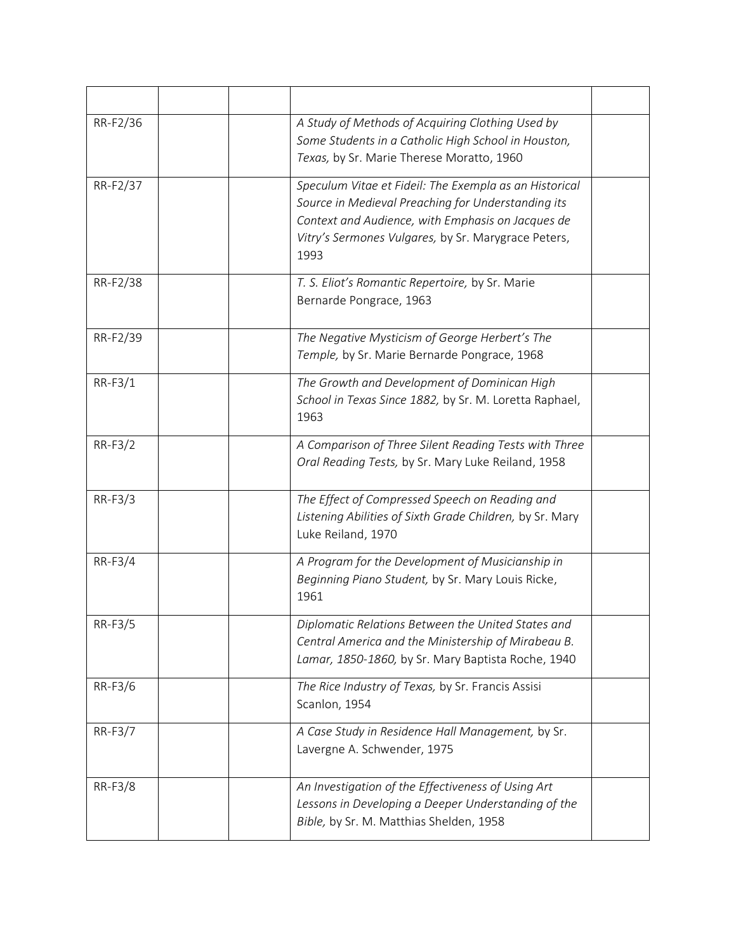| RR-F2/36  | A Study of Methods of Acquiring Clothing Used by<br>Some Students in a Catholic High School in Houston,<br>Texas, by Sr. Marie Therese Moratto, 1960                                                                             |
|-----------|----------------------------------------------------------------------------------------------------------------------------------------------------------------------------------------------------------------------------------|
| RR-F2/37  | Speculum Vitae et Fideil: The Exempla as an Historical<br>Source in Medieval Preaching for Understanding its<br>Context and Audience, with Emphasis on Jacques de<br>Vitry's Sermones Vulgares, by Sr. Marygrace Peters,<br>1993 |
| RR-F2/38  | T. S. Eliot's Romantic Repertoire, by Sr. Marie<br>Bernarde Pongrace, 1963                                                                                                                                                       |
| RR-F2/39  | The Negative Mysticism of George Herbert's The<br>Temple, by Sr. Marie Bernarde Pongrace, 1968                                                                                                                                   |
| $RR-F3/1$ | The Growth and Development of Dominican High<br>School in Texas Since 1882, by Sr. M. Loretta Raphael,<br>1963                                                                                                                   |
| RR-F3/2   | A Comparison of Three Silent Reading Tests with Three<br>Oral Reading Tests, by Sr. Mary Luke Reiland, 1958                                                                                                                      |
| RR-F3/3   | The Effect of Compressed Speech on Reading and<br>Listening Abilities of Sixth Grade Children, by Sr. Mary<br>Luke Reiland, 1970                                                                                                 |
| RR-F3/4   | A Program for the Development of Musicianship in<br>Beginning Piano Student, by Sr. Mary Louis Ricke,<br>1961                                                                                                                    |
| RR-F3/5   | Diplomatic Relations Between the United States and<br>Central America and the Ministership of Mirabeau B.<br>Lamar, 1850-1860, by Sr. Mary Baptista Roche, 1940                                                                  |
| RR-F3/6   | The Rice Industry of Texas, by Sr. Francis Assisi<br>Scanlon, 1954                                                                                                                                                               |
| RR-F3/7   | A Case Study in Residence Hall Management, by Sr.<br>Lavergne A. Schwender, 1975                                                                                                                                                 |
| RR-F3/8   | An Investigation of the Effectiveness of Using Art<br>Lessons in Developing a Deeper Understanding of the<br>Bible, by Sr. M. Matthias Shelden, 1958                                                                             |